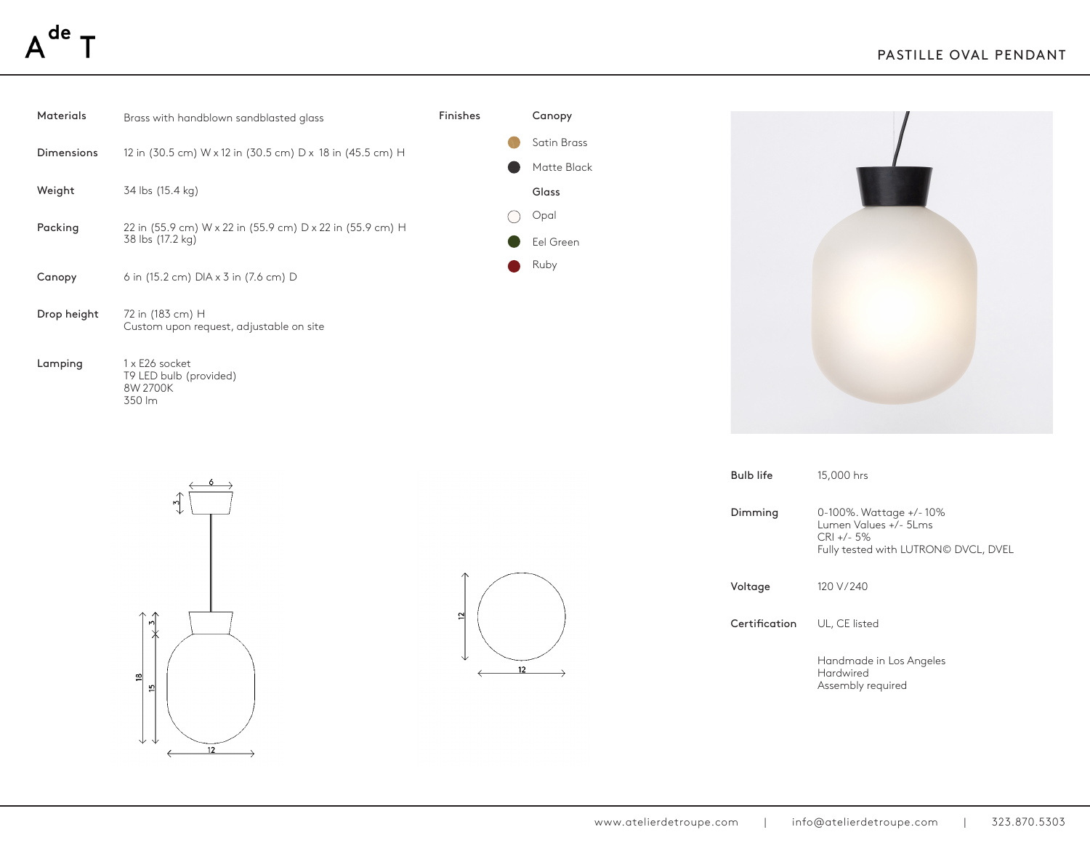## $A^{de}$  -

| Materials   | Brass with handblown sandblasted glass                                        | Finishes | Canopy                     |                  |                                                                                                       |
|-------------|-------------------------------------------------------------------------------|----------|----------------------------|------------------|-------------------------------------------------------------------------------------------------------|
| Dimensions  | 12 in (30.5 cm) W x 12 in (30.5 cm) D x 18 in (45.5 cm) H                     |          | Satin Brass<br>Matte Black |                  |                                                                                                       |
| Weight      | 34 lbs (15.4 kg)                                                              |          | Glass                      |                  |                                                                                                       |
| Packing     | 22 in (55.9 cm) W x 22 in (55.9 cm) D x 22 in (55.9 cm) H<br>38 lbs (17.2 kg) |          | Opal<br>$($ )<br>Eel Green |                  |                                                                                                       |
| Canopy      | 6 in (15.2 cm) DIA x 3 in (7.6 cm) D                                          |          | Ruby<br>$\blacksquare$     |                  |                                                                                                       |
| Drop height | 72 in (183 cm) H<br>Custom upon request, adjustable on site                   |          |                            |                  |                                                                                                       |
| Lamping     | 1 x E26 socket<br>T9 LED bulb (provided)<br>8W 2700K<br>350 lm                |          |                            |                  |                                                                                                       |
|             |                                                                               |          |                            | <b>Bulb life</b> | 15,000 hrs                                                                                            |
|             |                                                                               |          |                            | Dimming          | 0-100%. Wattage +/-10%<br>Lumen Values +/- 5Lms<br>CRI +/- 5%<br>Fully tested with LUTRON© DVCL, DVEL |





| <b>Bulb life</b> | 15,000 hrs                                                                                              |
|------------------|---------------------------------------------------------------------------------------------------------|
| Dimming          | 0-100%. Wattage +/-10%<br>Lumen Values +/- 51 ms<br>$CRI + 5\%$<br>Fully tested with LUTRON© DVCL, DVEL |
| Voltage          | 120 V/240                                                                                               |
| Certification    | UL, CE listed                                                                                           |
|                  | Handmade in Los Angeles<br>Hardwired<br>Assembly required                                               |